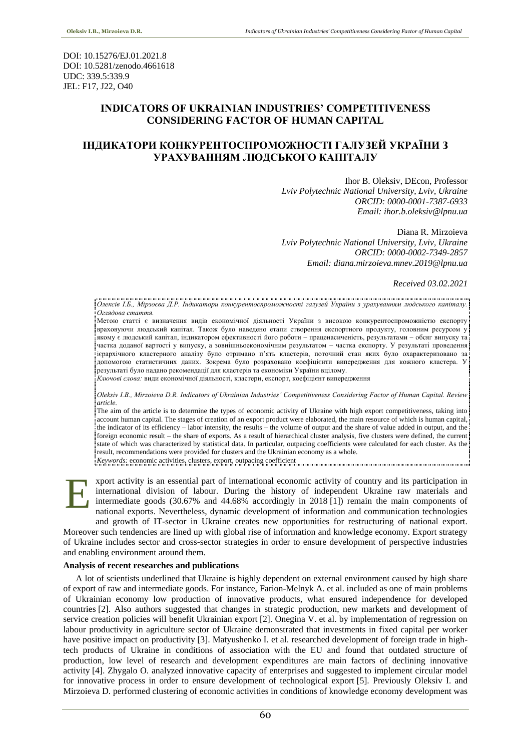DOI: 10.15276/EJ.01.2021.8 DOI: 10.5281/zenodo.4661618 UDC: 339.5:339.9 JEL: F17, J22, O40

# **INDICATORS OF UKRAINIAN INDUSTRIES' COMPETITIVENESS CONSIDERING FACTOR OF HUMAN CAPITAL**

# **ІНДИКАТОРИ КОНКУРЕНТОСПРОМОЖНОСТІ ГАЛУЗЕЙ УКРАЇНИ З УРАХУВАННЯМ ЛЮДСЬКОГО КАПІТАЛУ**

Ihor B. Oleksiv, DEcon, Professor *Lviv Polytechnic National University, Lviv, Ukraine ORCID: 0000-0001-7387-6933 Email: ihor.b.oleksiv@lpnu.ua*

Diana R. Mirzoieva *Lviv Polytechnic National University, Lviv, Ukraine ORCID: 0000-0002-7349-2857 Email: diana.mirzoieva.mnev.2019@lpnu.ua*

*Received 03.02.2021*

*Олексів І.Б., Мірзоєва Д.Р. Індикатори конкурентоспроможності галузей України з урахуванням людського капіталу. Оглядова стаття.*

Метою статті є визначення видів економічної діяльності України з високою конкурентоспроможністю експорту враховуючи людський капітал. Також було наведено етапи створення експортного продукту, головним ресурсом у якому є людський капітал, індикатором ефективності його роботи – праценасиченість, результатами – обсяг випуску та частка доданої вартості у випуску, а зовнішньоекономічним результатом – частка експорту. У результаті проведення ієрархічного кластерного аналізу було отримано п'ять кластерів, поточний стан яких було охарактеризовано за допомогою статистичних даних. Зокрема було розраховано коефіцієнти випередження для кожного кластера. У результаті було надано рекомендації для кластерів та економіки України вцілому.

*Ключові слова:* види економічної діяльності, кластери, експорт, коефіцієнт випередження

*Oleksiv I.B., Mirzoieva D.R. Indicators of Ukrainian Industries' Competitiveness Considering Factor of Human Capital. Review article.*

The aim of the article is to determine the types of economic activity of Ukraine with high export competitiveness, taking into account human capital. The stages of creation of an export product were elaborated, the main resource of which is human capital, the indicator of its efficiency – labor intensity, the results – the volume of output and the share of value added in output, and the foreign economic result – the share of exports. As a result of hierarchical cluster analysis, five clusters were defined, the current state of which was characterized by statistical data. In particular, outpacing coefficients were calculated for each cluster. As the result, recommendations were provided for clusters and the Ukrainian economy as a whole. *Keywords:* economic activities, clusters, export, outpacing coefficient

xport activity is an essential part of international economic activity of country and its participation іn international division of labour. During the history of independent Ukraine raw materials and intermediate goods (30.67% and 44.68% accordingly in 2018 [1]) remain the main components of national exports. Nevertheless, dynamic development of information and communication technologies and growth of IT-sector in Ukraine creates new opportunities for restructuring of national export. Moreover such tendencies are lined up with global rise of information and knowledge economy. Export strategy of Ukraine includes sector and cross-sector strategies in order to ensure development of perspective industries and enabling environment around them. E

### **Analysis of recent researches and publications**

A lot of scientists underlined that Ukraine is highly dependent on external environment caused by high share of export of raw and intermediate goods. For instance, Farion-Melnyk A. et al. included as one of main problems of Ukrainian economy low production of innovative products, what ensured independence for developed countries [2]. Also authors suggested that changes in strategic production, new markets and development of service creation policies will benefit Ukrainian export [2]. Onegina V. et al. by implementation of regression on labour productivity in agriculture sector of Ukraine demonstrated that investments in fixed capital per worker have positive impact on productivity [3]. Matyushenko I. et al. researched development of foreign trade in hightech products of Ukraine in conditions of association with the EU and found that outdated structure of production, low level of research and development expenditures are main factors of declining innovative activity [4]. Zhygalo O. analyzed innovative capacity of enterprises and suggested to implement circular model for innovative process in order to ensure development of technological export [5]. Previously Oleksiv I. and Mirzoieva D. performed clustering of economic activities in conditions of knowledge economy development was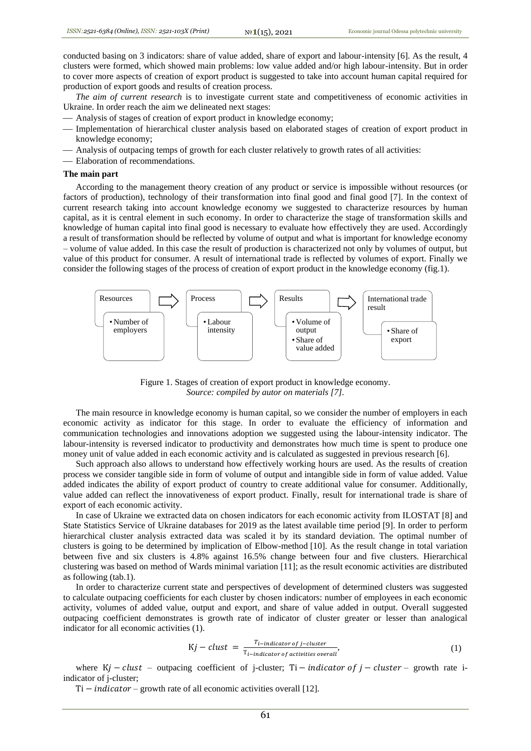conducted basing on 3 indicators: share of value added, share of export and labour-intensity [6]. As the result, 4 clusters were formed, which showed main problems: low value added and/or high labour-intensity. But in order to cover more aspects of creation of export product is suggested to take into account human capital required for production of export goods and results of creation process.

*The aim of current research* is to investigate current state and competitiveness of economic activities in Ukraine. In order reach the aim we delineated next stages:

- Analysis of stages of creation of export product in knowledge economy;
- Implementation of hierarchical cluster analysis based on elaborated stages of creation of export product in knowledge economy;
- Analysis of outpacing temps of growth for each cluster relatively to growth rates of all activities:
- Elaboration of recommendations.

#### **The main part**

According to the management theory creation of any product or service is impossible without resources (or factors of production), technology of their transformation into final good and final good [7]. In the context of current research taking into account knowledge economy we suggested to characterize resources by human capital, as it is central element in such economy. In order to characterize the stage of transformation skills and knowledge of human capital into final good is necessary to evaluate how effectively they are used. Accordingly a result of transformation should be reflected by volume of output and what is important for knowledge economy – volume of value added. In this case the result of production is characterized not only by volumes of output, but value of this product for consumer. A result of international trade is reflected by volumes of export. Finally we consider the following stages of the process of creation of export product in the knowledge economy (fig.1).



Figure 1. Stages of creation of export product in knowledge economy. *Source: compiled by autor on materials [7].*

The main resource in knowledge economy is human capital, so we consider the number of employers in each economic activity as indicator for this stage. In order to evaluate the efficiency of information and communication technologies and innovations adoption we suggested using the labour-intensity indicator. The labour-intensity is reversed indicator to productivity and demonstrates how much time is spent to produce one money unit of value added in each economic activity and is calculated as suggested in previous research [6].

Such approach also allows to understand how effectively working hours are used. As the results of creation process we consider tangible side in form of volume of output and intangible side in form of value added. Value added indicates the ability of export product of country to create additional value for consumer. Additionally, value added can reflect the innovativeness of export product. Finally, result for international trade is share of export of each economic activity.

In case of Ukraine we extracted data on chosen indicators for each economic activity from ILOSTAT [8] and State Statistics Service of Ukraine databases for 2019 as the latest available time period [9]. In order to perform hierarchical cluster analysis extracted data was scaled it by its standard deviation. The optimal number of clusters is going to be determined by implication of Elbow-method [10]. As the result change in total variation between five and six clusters is 4.8% against 16.5% change between four and five clusters. Hierarchical clustering was based on method of Wards minimal variation [11]; as the result economic activities are distributed as following (tab.1).

In order to characterize current state and perspectives of development of determined clusters was suggested to calculate outpacing coefficients for each cluster by chosen indicators: number of employees in each economic activity, volumes of added value, output and export, and share of value added in output. Overall suggested outpacing coefficient demonstrates is growth rate of indicator of cluster greater or lesser than analogical indicator for all economic activities (1).

$$
Kj-clust = \frac{T_{i-indication of j-cluster}}{T_{i-indication of activities overall}},
$$
\n(1)

where  $Kj - clust$  – outpacing coefficient of j-cluster; Ti – *indicator of j – cluster* – growth rate iindicator of j-cluster;

 $Ti - indicator - growth$  rate of all economic activities overall [12].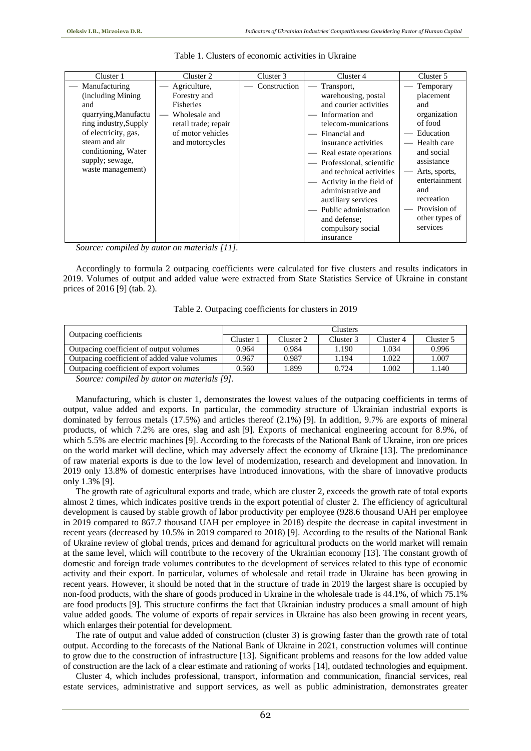| Cluster 1             | Cluster 2            | Cluster 3    | Cluster 4                                                 | Cluster 5      |
|-----------------------|----------------------|--------------|-----------------------------------------------------------|----------------|
| Manufacturing         | Agriculture,         | Construction | Transport,                                                | Temporary      |
| (including Mining)    | Forestry and         |              | warehousing, postal                                       | placement      |
| and                   | <b>Fisheries</b>     |              | and courier activities                                    | and            |
| quarrying, Manufactu  | Wholesale and        |              | Information and                                           | organization   |
| ring industry, Supply | retail trade; repair |              | telecom-munications                                       | of food        |
| of electricity, gas,  | of motor vehicles    |              | Financial and                                             | Education      |
| steam and air         | and motorcycles      |              | insurance activities                                      | Health care    |
| conditioning, Water   |                      |              | Real estate operations<br>$\hspace{0.1mm}-\hspace{0.1mm}$ | and social     |
| supply; sewage,       |                      |              | Professional, scientific                                  | assistance     |
| waste management)     |                      |              | and technical activities                                  | Arts, sports,  |
|                       |                      |              | Activity in the field of                                  | entertainment  |
|                       |                      |              | administrative and                                        | and            |
|                       |                      |              | auxiliary services                                        | recreation     |
|                       |                      |              | Public administration                                     | Provision of   |
|                       |                      |              | and defense;                                              | other types of |
|                       |                      |              | compulsory social                                         | services       |
|                       |                      |              | insurance                                                 |                |

#### Table 1. Clusters of economic activities in Ukraine

*Source: compiled by autor on materials [11].*

Accordingly to formula 2 outpacing coefficients were calculated for five clusters and results indicators in 2019. Volumes of output and added value were extracted from State Statistics Service of Ukraine in constant prices of 2016 [9] (tab. 2).

|                                              | <b>Clusters</b> |           |           |           |           |  |  |
|----------------------------------------------|-----------------|-----------|-----------|-----------|-----------|--|--|
| Outpacing coefficients                       | Cluster 1       | Cluster 2 | Cluster 3 | Cluster 4 | Cluster 5 |  |  |
| Outpacing coefficient of output volumes      | 0.964           | 0.984     | 1.190     | 1.034     | 0.996     |  |  |
| Outpacing coefficient of added value volumes | 0.967           | 0.987     | 1.194     | 1.022     | '.007     |  |  |
| Outpacing coefficient of export volumes      | 0.560           | 1.899     | 0.724     | 0.002     | .140      |  |  |
| .<br>.                                       |                 |           |           |           |           |  |  |

|  |  | Table 2. Outpacing coefficients for clusters in 2019 |  |  |  |  |
|--|--|------------------------------------------------------|--|--|--|--|
|--|--|------------------------------------------------------|--|--|--|--|

*Source: compiled by autor on materials [9].*

Manufacturing, which is cluster 1, demonstrates the lowest values of the outpacing coefficients in terms of output, value added and exports. In particular, the commodity structure of Ukrainian industrial exports is dominated by ferrous metals (17.5%) and articles thereof (2.1%) [9]. In addition, 9.7% are exports of mineral products, of which 7.2% are ores, slag and ash [9]. Exports of mechanical engineering account for 8.9%, of which 5.5% are electric machines [9]. According to the forecasts of the National Bank of Ukraine, iron ore prices on the world market will decline, which may adversely affect the economy of Ukraine [13]. The predominance of raw material exports is due to the low level of modernization, research and development and innovation. In 2019 only 13.8% of domestic enterprises have introduced innovations, with the share of innovative products only 1.3% [9].

The growth rate of agricultural exports and trade, which are cluster 2, exceeds the growth rate of total exports almost 2 times, which indicates positive trends in the export potential of cluster 2. The efficiency of agricultural development is caused by stable growth of labor productivity per employee (928.6 thousand UAH per employee in 2019 compared to 867.7 thousand UAH per employee in 2018) despite the decrease in capital investment in recent years (decreased by 10.5% in 2019 compared to 2018) [9]. According to the results of the National Bank of Ukraine review of global trends, prices and demand for agricultural products on the world market will remain at the same level, which will contribute to the recovery of the Ukrainian economy [13]. The constant growth of domestic and foreign trade volumes contributes to the development of services related to this type of economic activity and their export. In particular, volumes of wholesale and retail trade in Ukraine has been growing in recent years. However, it should be noted that in the structure of trade in 2019 the largest share is occupied by non-food products, with the share of goods produced in Ukraine in the wholesale trade is 44.1%, of which 75.1% are food products [9]. This structure confirms the fact that Ukrainian industry produces a small amount of high value added goods. The volume of exports of repair services in Ukraine has also been growing in recent years, which enlarges their potential for development.

The rate of output and value added of construction (cluster 3) is growing faster than the growth rate of total output. According to the forecasts of the National Bank of Ukraine in 2021, construction volumes will continue to grow due to the construction of infrastructure [13]. Significant problems and reasons for the low added value of construction are the lack of a clear estimate and rationing of works [14], outdated technologies and equipment.

Cluster 4, which includes professional, transport, information and communication, financial services, real estate services, administrative and support services, as well as public administration, demonstrates greater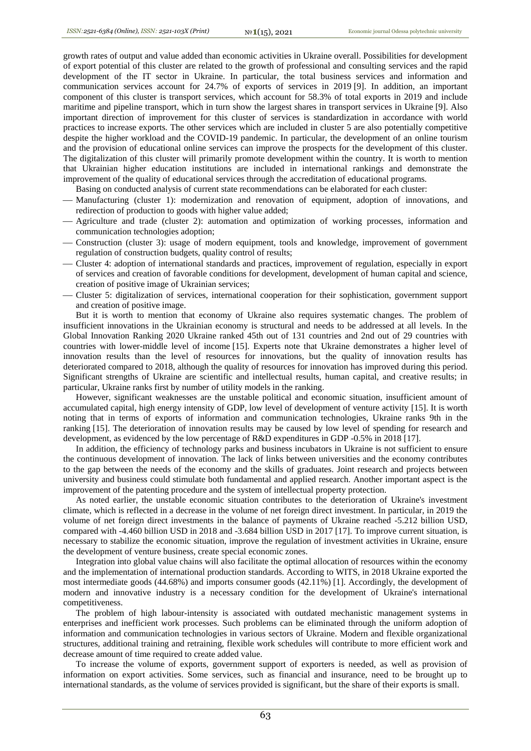growth rates of output and value added than economic activities in Ukraine overall. Possibilities for development of export potential of this cluster are related to the growth of professional and consulting services and the rapid development of the IT sector in Ukraine. In particular, the total business services and information and communication services account for 24.7% of exports of services in 2019 [9]. In addition, an important component of this cluster is transport services, which account for 58.3% of total exports in 2019 and include maritime and pipeline transport, which in turn show the largest shares in transport services in Ukraine [9]. Also important direction of improvement for this cluster of services is standardization in accordance with world practices to increase exports. The other services which are included in cluster 5 are also potentially competitive despite the higher workload and the COVID-19 pandemic. In particular, the development of an online tourism and the provision of educational online services can improve the prospects for the development of this cluster. The digitalization of this cluster will primarily promote development within the country. It is worth to mention that Ukrainian higher education institutions are included in international rankings and demonstrate the improvement of the quality of educational services through the accreditation of educational programs.

Basing on conducted analysis of current state recommendations can be elaborated for each cluster:

- Manufacturing (cluster 1): modernization and renovation of equipment, adoption of innovations, and redirection of production to goods with higher value added;
- Agriculture and trade (cluster 2): automation and optimization of working processes, information and communication technologies adoption;
- Construction (cluster 3): usage of modern equipment, tools and knowledge, improvement of government regulation of construction budgets, quality control of results;
- Cluster 4: adoption of international standards and practices, improvement of regulation, especially in export of services and creation of favorable conditions for development, development of human capital and science, creation of positive image of Ukrainian services;
- Cluster 5: digitalization of services, international cooperation for their sophistication, government support and creation of positive image.

But it is worth to mention that economy of Ukraine also requires systematic changes. The problem of insufficient innovations in the Ukrainian economy is structural and needs to be addressed at all levels. In the Global Innovation Ranking 2020 Ukraine ranked 45th out of 131 countries and 2nd out of 29 countries with countries with lower-middle level of income [15]. Experts note that Ukraine demonstrates a higher level of innovation results than the level of resources for innovations, but the quality of innovation results has deteriorated compared to 2018, although the quality of resources for innovation has improved during this period. Significant strengths of Ukraine are scientific and intellectual results, human capital, and creative results; in particular, Ukraine ranks first by number of utility models in the ranking.

However, significant weaknesses are the unstable political and economic situation, insufficient amount of accumulated capital, high energy intensity of GDP, low level of development of venture activity [15]. It is worth noting that in terms of exports of information and communication technologies, Ukraine ranks 9th in the ranking [15]. The deterioration of innovation results may be caused by low level of spending for research and development, as evidenced by the low percentage of R&D expenditures in GDP -0.5% in 2018 [17].

In addition, the efficiency of technology parks and business incubators in Ukraine is not sufficient to ensure the continuous development of innovation. The lack of links between universities and the economy contributes to the gap between the needs of the economy and the skills of graduates. Joint research and projects between university and business could stimulate both fundamental and applied research. Another important aspect is the improvement of the patenting procedure and the system of intellectual property protection.

As noted earlier, the unstable economic situation contributes to the deterioration of Ukraine's investment climate, which is reflected in a decrease in the volume of net foreign direct investment. In particular, in 2019 the volume of net foreign direct investments in the balance of payments of Ukraine reached -5.212 billion USD, compared with -4.460 billion USD in 2018 and -3.684 billion USD in 2017 [17]. To improve current situation, is necessary to stabilize the economic situation, improve the regulation of investment activities in Ukraine, ensure the development of venture business, create special economic zones.

Integration into global value chains will also facilitate the optimal allocation of resources within the economy and the implementation of international production standards. According to WITS, in 2018 Ukraine exported the most intermediate goods (44.68%) and imports consumer goods (42.11%) [1]. Accordingly, the development of modern and innovative industry is a necessary condition for the development of Ukraine's international competitiveness.

The problem of high labour-intensity is associated with outdated mechanistic management systems in enterprises and inefficient work processes. Such problems can be eliminated through the uniform adoption of information and communication technologies in various sectors of Ukraine. Modern and flexible organizational structures, additional training and retraining, flexible work schedules will contribute to more efficient work and decrease amount of time required to create added value.

To increase the volume of exports, government support of exporters is needed, as well as provision of information on export activities. Some services, such as financial and insurance, need to be brought up to international standards, as the volume of services provided is significant, but the share of their exports is small.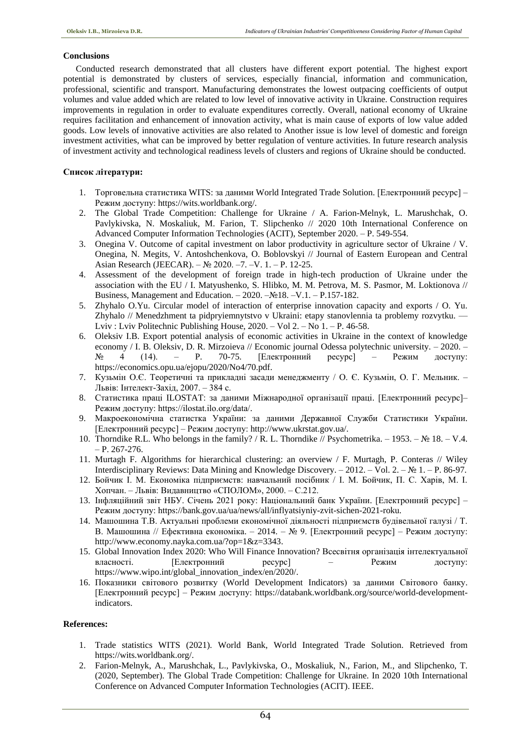## **Conclusions**

Conducted research demonstrated that all clusters have different export potential. The highest export potential is demonstrated by clusters of services, especially financial, information and communication, professional, scientific and transport. Manufacturing demonstrates the lowest outpacing coefficients of output volumes and value added which are related to low level of innovative activity in Ukraine. Construction requires improvements in regulation in order to evaluate expenditures correctly. Overall, national economy of Ukraine requires facilitation and enhancement of innovation activity, what is main cause of exports of low value added goods. Low levels of innovative activities are also related to Another issue is low level of domestic and foreign investment activities, what can be improved by better regulation of venture activities. In future research analysis of investment activity and technological readiness levels of clusters and regions of Ukraine should be conducted.

## **Список літератури:**

- 1. Торговельна статистика WITS: за даними World Integrated Trade Solution. [Електронний ресурс] Режим доступу: https://wits.worldbank.org/.
- 2. The Global Trade Competition: Challenge for Ukraine / A. Farion-Melnyk, L. Marushchak, O. Pavlykivska, N. Moskaliuk, M. Farion, T. Slipchenko // 2020 10th International Conference on Advanced Computer Information Technologies (ACIT), September 2020. – P. 549-554.
- 3. Onegina V. Outcome of capital investment on labor productivity in agriculture sector of Ukraine / V. Onegina, N. Megits, V. Antoshchenkova, O. Boblovskyi // Journal of Eastern European and Central Asian Research (JEECAR). – № 2020. –7. –V. 1. – P. 12-25.
- 4. Assessment of the development of foreign trade in high-tech production of Ukraine under the association with the EU / I. Matyushenko, S. Hlibko, M. M. Petrova, M. S. Pasmor, M. Loktionova // Business, Management and Education. – 2020. –№18. –V.1. – P.157-182.
- 5. Zhyhalo O.Yu. Circular model of interaction of enterprise innovation capacity and exports / O. Yu. Zhyhalo // Menedzhment ta pidpryiemnytstvo v Ukraini: etapy stanovlennia ta problemy rozvytku. — Lviv : Lviv Politechnic Publishing House, 2020. – Vol 2. – No 1. – P. 46-58.
- 6. Oleksiv I.B. Export potential analysis of economic activities in Ukraine in the context of knowledge economy / I. B. Oleksiv, D. R. Mirzoieva // Economic journal Odessa polytechnic university. – 2020. –  $N_2$  4 (14). – Р. 70-75. [Електронний ресурс] – Режим лоступу: № 4 (14). – P. 70-75. [Електронний ресурс] – Режим доступу: https://economics.opu.ua/ejopu/2020/No4/70.pdf.
- 7. Кузьмін О.Є. Теоретичні та прикладні засади менеджменту / О. Є. Кузьмін, О. Г. Мельник. Львів: Інтелект-Захід, 2007. – 384 с.
- 8. Статистика праці ILOSTAT: за даними Міжнародної організації праці. [Електронний ресурс]– Режим доступу: https://ilostat.ilo.org/data/.
- 9. Макроекономічна статистка України: за даними Державної Служби Статистики України. [Електронний ресурс] – Режим доступу: http://www.ukrstat.gov.ua/.
- 10. Thorndike R.L. Who belongs in the family? / R. L. Thorndike // Psychometrika. 1953. № 18. V.4.  $- P. 267 - 276.$
- 11. Murtagh F. Algorithms for hierarchical clustering: an overview / F. Murtagh, P. Conteras // Wiley Interdisciplinary Reviews: Data Mining and Knowledge Discovery. – 2012. – Vol. 2. – № 1. – P. 86-97.
- 12. Бойчик І. М. Економіка підприємств: навчальний посібник / І. М. Бойчик, П. С. Харів, М. І. Хопчан. – Львів: Видавництво «СПОЛОМ», 2000. – С.212.
- 13. Інфляційний звіт НБУ. Січень 2021 року: Національний банк України. [Електронний ресурс] Режим доступу: https://bank.gov.ua/ua/news/all/inflyatsiyniy-zvit-sichen-2021-roku.
- 14. Машошина Т.В. Актуальні проблеми економічної діяльності підприємств будівельної галузі / Т. В. Машошина // Ефективна економіка. – 2014. – № 9. [Електронний ресурс] – Режим доступу: http://www.economy.nayka.com.ua/?op=1&z=3343.
- 15. Global Innovation Index 2020: Who Will Finance Innovation? Всесвітня організація інтелектуальної [Електронний ресурс] – Режим доступу: https://www.wipo.int/global\_innovation\_index/en/2020/.
- 16. Показники світового розвитку (World Development Indicators) за даними Світового банку. [Електронний ресурс] – Режим доступу: https://databank.worldbank.org/source/world-developmentindicators.

## **References:**

- 1. Trade statistics WITS (2021). World Bank, World Integrated Trade Solution. Retrieved from https://wits.worldbank.org/.
- 2. Farion-Melnyk, A., Marushchak, L., Pavlykivska, O., Moskaliuk, N., Farion, M., and Slipchenko, T. (2020, September). The Global Trade Competition: Challenge for Ukraine. In 2020 10th International Conference on Advanced Computer Information Technologies (ACIT). IEEE.